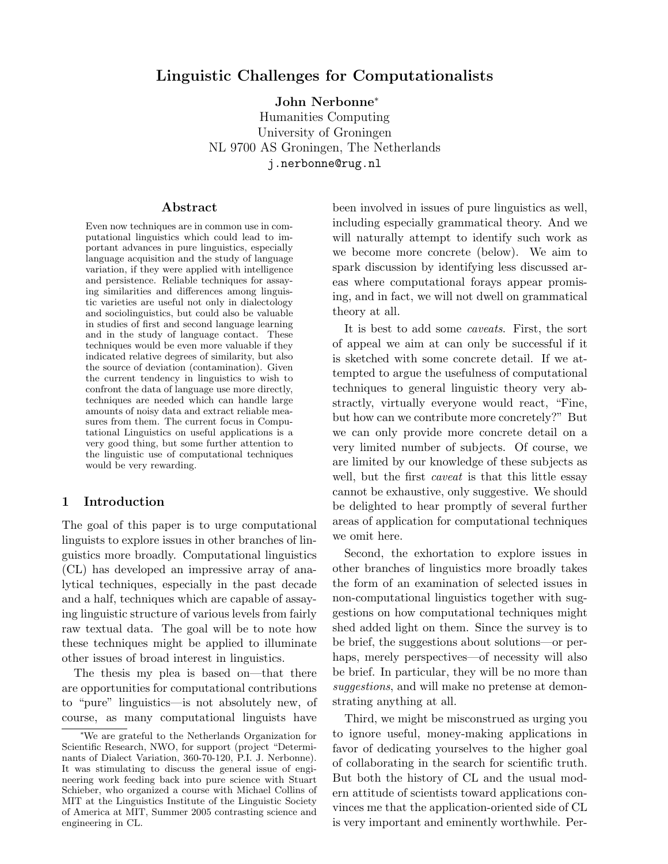# Linguistic Challenges for Computationalists

John Nerbonne<sup>∗</sup>

Humanities Computing University of Groningen NL 9700 AS Groningen, The Netherlands j.nerbonne@rug.nl

### Abstract

Even now techniques are in common use in computational linguistics which could lead to important advances in pure linguistics, especially language acquisition and the study of language variation, if they were applied with intelligence and persistence. Reliable techniques for assaying similarities and differences among linguistic varieties are useful not only in dialectology and sociolinguistics, but could also be valuable in studies of first and second language learning and in the study of language contact. These techniques would be even more valuable if they indicated relative degrees of similarity, but also the source of deviation (contamination). Given the current tendency in linguistics to wish to confront the data of language use more directly, techniques are needed which can handle large amounts of noisy data and extract reliable measures from them. The current focus in Computational Linguistics on useful applications is a very good thing, but some further attention to the linguistic use of computational techniques would be very rewarding.

### 1 Introduction

The goal of this paper is to urge computational linguists to explore issues in other branches of linguistics more broadly. Computational linguistics (CL) has developed an impressive array of analytical techniques, especially in the past decade and a half, techniques which are capable of assaying linguistic structure of various levels from fairly raw textual data. The goal will be to note how these techniques might be applied to illuminate other issues of broad interest in linguistics.

The thesis my plea is based on—that there are opportunities for computational contributions to "pure" linguistics—is not absolutely new, of course, as many computational linguists have been involved in issues of pure linguistics as well, including especially grammatical theory. And we will naturally attempt to identify such work as we become more concrete (below). We aim to spark discussion by identifying less discussed areas where computational forays appear promising, and in fact, we will not dwell on grammatical theory at all.

It is best to add some caveats. First, the sort of appeal we aim at can only be successful if it is sketched with some concrete detail. If we attempted to argue the usefulness of computational techniques to general linguistic theory very abstractly, virtually everyone would react, "Fine, but how can we contribute more concretely?" But we can only provide more concrete detail on a very limited number of subjects. Of course, we are limited by our knowledge of these subjects as well, but the first *caveat* is that this little essay cannot be exhaustive, only suggestive. We should be delighted to hear promptly of several further areas of application for computational techniques we omit here.

Second, the exhortation to explore issues in other branches of linguistics more broadly takes the form of an examination of selected issues in non-computational linguistics together with suggestions on how computational techniques might shed added light on them. Since the survey is to be brief, the suggestions about solutions—or perhaps, merely perspectives—of necessity will also be brief. In particular, they will be no more than suggestions, and will make no pretense at demonstrating anything at all.

Third, we might be misconstrued as urging you to ignore useful, money-making applications in favor of dedicating yourselves to the higher goal of collaborating in the search for scientific truth. But both the history of CL and the usual modern attitude of scientists toward applications convinces me that the application-oriented side of CL is very important and eminently worthwhile. Per-

<sup>∗</sup>We are grateful to the Netherlands Organization for Scientific Research, NWO, for support (project "Determinants of Dialect Variation, 360-70-120, P.I. J. Nerbonne). It was stimulating to discuss the general issue of engineering work feeding back into pure science with Stuart Schieber, who organized a course with Michael Collins of MIT at the Linguistics Institute of the Linguistic Society of America at MIT, Summer 2005 contrasting science and engineering in CL.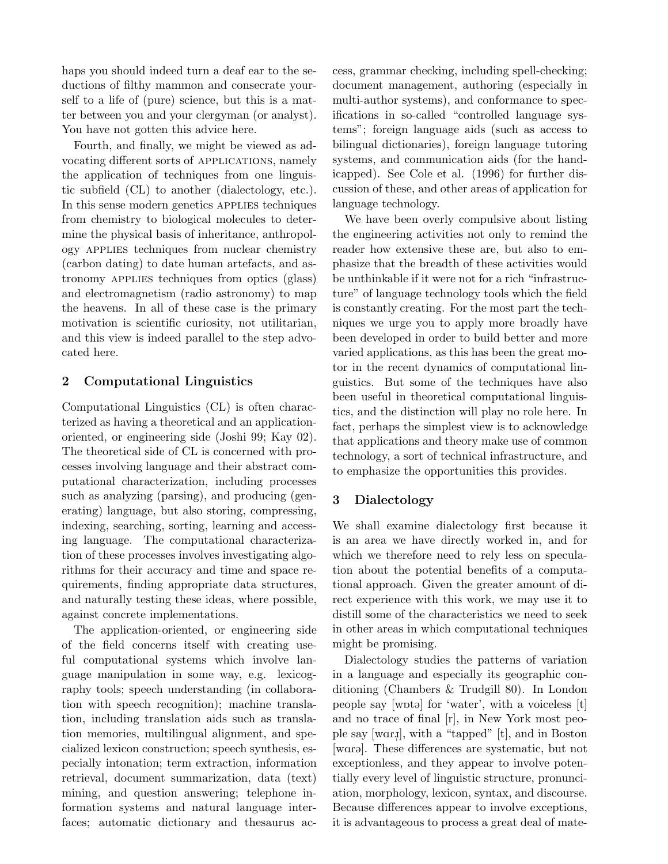haps you should indeed turn a deaf ear to the seductions of filthy mammon and consecrate yourself to a life of (pure) science, but this is a matter between you and your clergyman (or analyst). You have not gotten this advice here.

Fourth, and finally, we might be viewed as advocating different sorts of applications, namely the application of techniques from one linguistic subfield (CL) to another (dialectology, etc.). In this sense modern genetics applies techniques from chemistry to biological molecules to determine the physical basis of inheritance, anthropology applies techniques from nuclear chemistry (carbon dating) to date human artefacts, and astronomy applies techniques from optics (glass) and electromagnetism (radio astronomy) to map the heavens. In all of these case is the primary motivation is scientific curiosity, not utilitarian, and this view is indeed parallel to the step advocated here.

## 2 Computational Linguistics

Computational Linguistics (CL) is often characterized as having a theoretical and an applicationoriented, or engineering side (Joshi 99; Kay 02). The theoretical side of CL is concerned with processes involving language and their abstract computational characterization, including processes such as analyzing (parsing), and producing (generating) language, but also storing, compressing, indexing, searching, sorting, learning and accessing language. The computational characterization of these processes involves investigating algorithms for their accuracy and time and space requirements, finding appropriate data structures, and naturally testing these ideas, where possible, against concrete implementations.

The application-oriented, or engineering side of the field concerns itself with creating useful computational systems which involve language manipulation in some way, e.g. lexicography tools; speech understanding (in collaboration with speech recognition); machine translation, including translation aids such as translation memories, multilingual alignment, and specialized lexicon construction; speech synthesis, especially intonation; term extraction, information retrieval, document summarization, data (text) mining, and question answering; telephone information systems and natural language interfaces; automatic dictionary and thesaurus ac-

cess, grammar checking, including spell-checking; document management, authoring (especially in multi-author systems), and conformance to specifications in so-called "controlled language systems"; foreign language aids (such as access to bilingual dictionaries), foreign language tutoring systems, and communication aids (for the handicapped). See Cole et al. (1996) for further discussion of these, and other areas of application for language technology.

We have been overly compulsive about listing the engineering activities not only to remind the reader how extensive these are, but also to emphasize that the breadth of these activities would be unthinkable if it were not for a rich "infrastructure" of language technology tools which the field is constantly creating. For the most part the techniques we urge you to apply more broadly have been developed in order to build better and more varied applications, as this has been the great motor in the recent dynamics of computational linguistics. But some of the techniques have also been useful in theoretical computational linguistics, and the distinction will play no role here. In fact, perhaps the simplest view is to acknowledge that applications and theory make use of common technology, a sort of technical infrastructure, and to emphasize the opportunities this provides.

### 3 Dialectology

We shall examine dialectology first because it is an area we have directly worked in, and for which we therefore need to rely less on speculation about the potential benefits of a computational approach. Given the greater amount of direct experience with this work, we may use it to distill some of the characteristics we need to seek in other areas in which computational techniques might be promising.

Dialectology studies the patterns of variation in a language and especially its geographic conditioning (Chambers & Trudgill 80). In London people say [wotə] for 'water', with a voiceless  $[t]$ and no trace of final [r], in New York most people say [war.], with a "tapped" [t], and in Boston  $\lbrack \text{war} \rbrack$ . These differences are systematic, but not exceptionless, and they appear to involve potentially every level of linguistic structure, pronunciation, morphology, lexicon, syntax, and discourse. Because differences appear to involve exceptions, it is advantageous to process a great deal of mate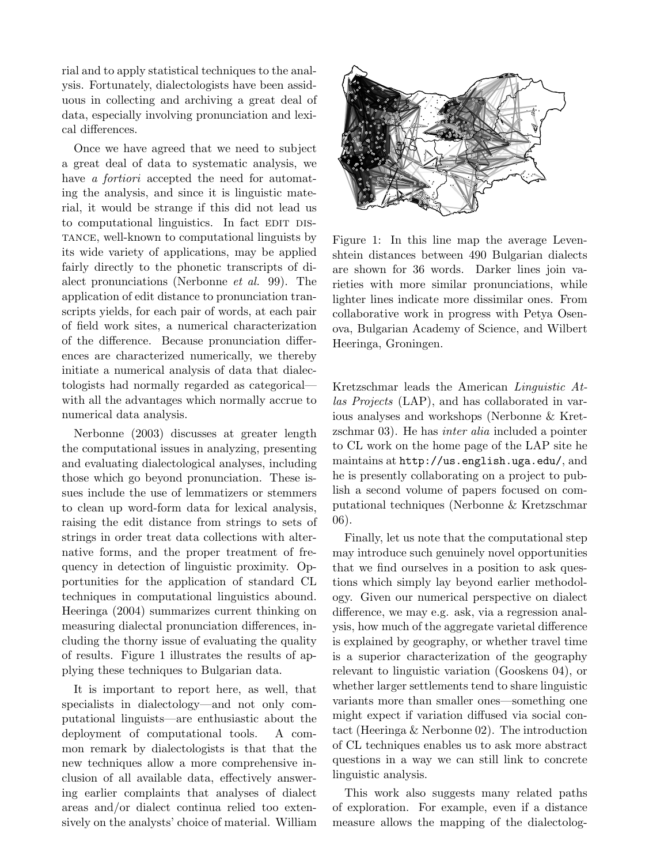rial and to apply statistical techniques to the analysis. Fortunately, dialectologists have been assiduous in collecting and archiving a great deal of data, especially involving pronunciation and lexical differences.

Once we have agreed that we need to subject a great deal of data to systematic analysis, we have a *fortiori* accepted the need for automating the analysis, and since it is linguistic material, it would be strange if this did not lead us to computational linguistics. In fact EDIT DIStance, well-known to computational linguists by its wide variety of applications, may be applied fairly directly to the phonetic transcripts of dialect pronunciations (Nerbonne et al. 99). The application of edit distance to pronunciation transcripts yields, for each pair of words, at each pair of field work sites, a numerical characterization of the difference. Because pronunciation differences are characterized numerically, we thereby initiate a numerical analysis of data that dialectologists had normally regarded as categorical with all the advantages which normally accrue to numerical data analysis.

Nerbonne (2003) discusses at greater length the computational issues in analyzing, presenting and evaluating dialectological analyses, including those which go beyond pronunciation. These issues include the use of lemmatizers or stemmers to clean up word-form data for lexical analysis, raising the edit distance from strings to sets of strings in order treat data collections with alternative forms, and the proper treatment of frequency in detection of linguistic proximity. Opportunities for the application of standard CL techniques in computational linguistics abound. Heeringa (2004) summarizes current thinking on measuring dialectal pronunciation differences, including the thorny issue of evaluating the quality of results. Figure 1 illustrates the results of applying these techniques to Bulgarian data.

It is important to report here, as well, that specialists in dialectology—and not only computational linguists—are enthusiastic about the deployment of computational tools. A common remark by dialectologists is that that the new techniques allow a more comprehensive inclusion of all available data, effectively answering earlier complaints that analyses of dialect areas and/or dialect continua relied too extensively on the analysts' choice of material. William



Figure 1: In this line map the average Levenshtein distances between 490 Bulgarian dialects are shown for 36 words. Darker lines join varieties with more similar pronunciations, while lighter lines indicate more dissimilar ones. From collaborative work in progress with Petya Osenova, Bulgarian Academy of Science, and Wilbert Heeringa, Groningen.

Kretzschmar leads the American Linguistic Atlas Projects (LAP), and has collaborated in various analyses and workshops (Nerbonne & Kretzschmar 03). He has inter alia included a pointer to CL work on the home page of the LAP site he maintains at http://us.english.uga.edu/, and he is presently collaborating on a project to publish a second volume of papers focused on computational techniques (Nerbonne & Kretzschmar 06).

Finally, let us note that the computational step may introduce such genuinely novel opportunities that we find ourselves in a position to ask questions which simply lay beyond earlier methodology. Given our numerical perspective on dialect difference, we may e.g. ask, via a regression analysis, how much of the aggregate varietal difference is explained by geography, or whether travel time is a superior characterization of the geography relevant to linguistic variation (Gooskens 04), or whether larger settlements tend to share linguistic variants more than smaller ones—something one might expect if variation diffused via social contact (Heeringa & Nerbonne 02). The introduction of CL techniques enables us to ask more abstract questions in a way we can still link to concrete linguistic analysis.

This work also suggests many related paths of exploration. For example, even if a distance measure allows the mapping of the dialectolog-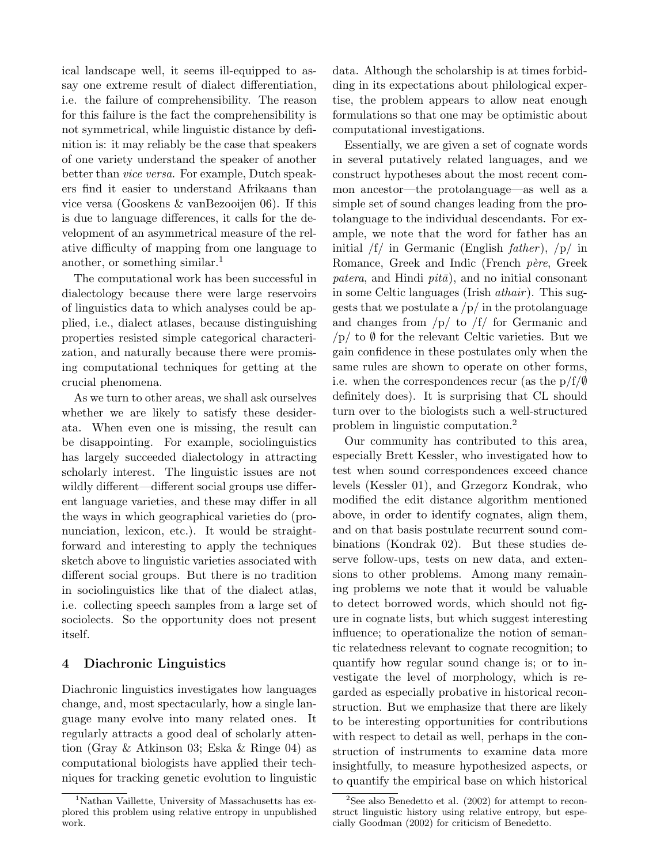ical landscape well, it seems ill-equipped to assay one extreme result of dialect differentiation, i.e. the failure of comprehensibility. The reason for this failure is the fact the comprehensibility is not symmetrical, while linguistic distance by definition is: it may reliably be the case that speakers of one variety understand the speaker of another better than vice versa. For example, Dutch speakers find it easier to understand Afrikaans than vice versa (Gooskens & vanBezooijen 06). If this is due to language differences, it calls for the development of an asymmetrical measure of the relative difficulty of mapping from one language to another, or something similar.<sup>1</sup>

The computational work has been successful in dialectology because there were large reservoirs of linguistics data to which analyses could be applied, i.e., dialect atlases, because distinguishing properties resisted simple categorical characterization, and naturally because there were promising computational techniques for getting at the crucial phenomena.

As we turn to other areas, we shall ask ourselves whether we are likely to satisfy these desiderata. When even one is missing, the result can be disappointing. For example, sociolinguistics has largely succeeded dialectology in attracting scholarly interest. The linguistic issues are not wildly different—different social groups use different language varieties, and these may differ in all the ways in which geographical varieties do (pronunciation, lexicon, etc.). It would be straightforward and interesting to apply the techniques sketch above to linguistic varieties associated with different social groups. But there is no tradition in sociolinguistics like that of the dialect atlas, i.e. collecting speech samples from a large set of sociolects. So the opportunity does not present itself.

### 4 Diachronic Linguistics

Diachronic linguistics investigates how languages change, and, most spectacularly, how a single language many evolve into many related ones. It regularly attracts a good deal of scholarly attention (Gray & Atkinson 03; Eska & Ringe 04) as computational biologists have applied their techniques for tracking genetic evolution to linguistic

data. Although the scholarship is at times forbidding in its expectations about philological expertise, the problem appears to allow neat enough formulations so that one may be optimistic about computational investigations.

Essentially, we are given a set of cognate words in several putatively related languages, and we construct hypotheses about the most recent common ancestor—the protolanguage—as well as a simple set of sound changes leading from the protolanguage to the individual descendants. For example, we note that the word for father has an initial /f/ in Germanic (English  $father$ ), /p/ in Romance, Greek and Indic (French père, Greek patera, and Hindi  $pit\bar{a}$ ), and no initial consonant in some Celtic languages (Irish *athair*). This suggests that we postulate a  $/p/$  in the protolanguage and changes from  $/p/$  to  $/f/$  for Germanic and  $/p/$  to  $\emptyset$  for the relevant Celtic varieties. But we gain confidence in these postulates only when the same rules are shown to operate on other forms, i.e. when the correspondences recur (as the  $p/f/\varnothing$ definitely does). It is surprising that CL should turn over to the biologists such a well-structured problem in linguistic computation.<sup>2</sup>

Our community has contributed to this area, especially Brett Kessler, who investigated how to test when sound correspondences exceed chance levels (Kessler 01), and Grzegorz Kondrak, who modified the edit distance algorithm mentioned above, in order to identify cognates, align them, and on that basis postulate recurrent sound combinations (Kondrak 02). But these studies deserve follow-ups, tests on new data, and extensions to other problems. Among many remaining problems we note that it would be valuable to detect borrowed words, which should not figure in cognate lists, but which suggest interesting influence; to operationalize the notion of semantic relatedness relevant to cognate recognition; to quantify how regular sound change is; or to investigate the level of morphology, which is regarded as especially probative in historical reconstruction. But we emphasize that there are likely to be interesting opportunities for contributions with respect to detail as well, perhaps in the construction of instruments to examine data more insightfully, to measure hypothesized aspects, or to quantify the empirical base on which historical

<sup>&</sup>lt;sup>1</sup>Nathan Vaillette, University of Massachusetts has explored this problem using relative entropy in unpublished work.

<sup>&</sup>lt;sup>2</sup>See also Benedetto et al.  $(2002)$  for attempt to reconstruct linguistic history using relative entropy, but especially Goodman (2002) for criticism of Benedetto.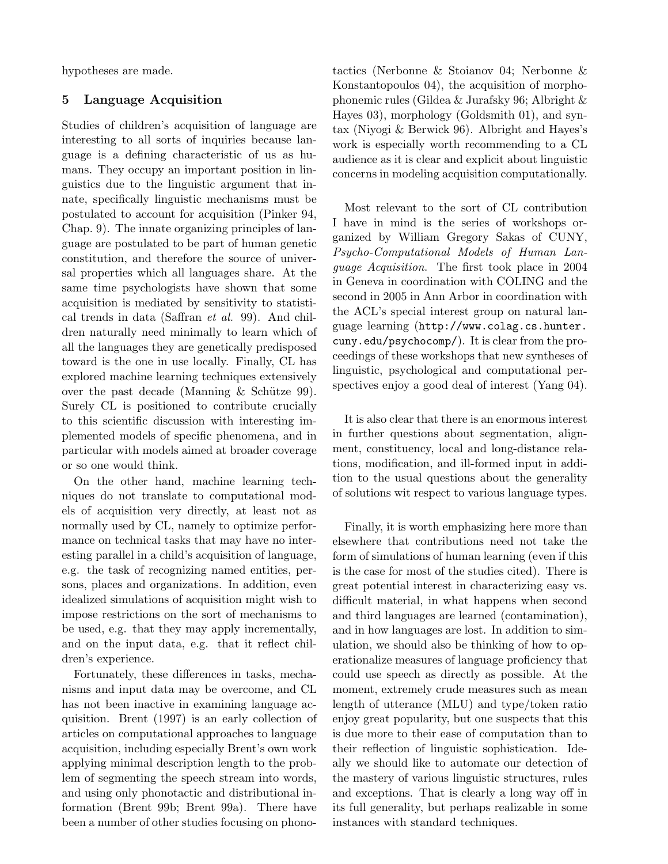hypotheses are made.

# 5 Language Acquisition

Studies of children's acquisition of language are interesting to all sorts of inquiries because language is a defining characteristic of us as humans. They occupy an important position in linguistics due to the linguistic argument that innate, specifically linguistic mechanisms must be postulated to account for acquisition (Pinker 94, Chap. 9). The innate organizing principles of language are postulated to be part of human genetic constitution, and therefore the source of universal properties which all languages share. At the same time psychologists have shown that some acquisition is mediated by sensitivity to statistical trends in data (Saffran et al. 99). And children naturally need minimally to learn which of all the languages they are genetically predisposed toward is the one in use locally. Finally, CL has explored machine learning techniques extensively over the past decade (Manning  $&$  Schütze 99). Surely CL is positioned to contribute crucially to this scientific discussion with interesting implemented models of specific phenomena, and in particular with models aimed at broader coverage or so one would think.

On the other hand, machine learning techniques do not translate to computational models of acquisition very directly, at least not as normally used by CL, namely to optimize performance on technical tasks that may have no interesting parallel in a child's acquisition of language, e.g. the task of recognizing named entities, persons, places and organizations. In addition, even idealized simulations of acquisition might wish to impose restrictions on the sort of mechanisms to be used, e.g. that they may apply incrementally, and on the input data, e.g. that it reflect children's experience.

Fortunately, these differences in tasks, mechanisms and input data may be overcome, and CL has not been inactive in examining language acquisition. Brent (1997) is an early collection of articles on computational approaches to language acquisition, including especially Brent's own work applying minimal description length to the problem of segmenting the speech stream into words, and using only phonotactic and distributional information (Brent 99b; Brent 99a). There have been a number of other studies focusing on phono-

tactics (Nerbonne & Stoianov 04; Nerbonne & Konstantopoulos 04), the acquisition of morphophonemic rules (Gildea & Jurafsky 96; Albright & Hayes 03), morphology (Goldsmith 01), and syntax (Niyogi & Berwick 96). Albright and Hayes's work is especially worth recommending to a CL audience as it is clear and explicit about linguistic concerns in modeling acquisition computationally.

Most relevant to the sort of CL contribution I have in mind is the series of workshops organized by William Gregory Sakas of CUNY, Psycho-Computational Models of Human Language Acquisition. The first took place in 2004 in Geneva in coordination with COLING and the second in 2005 in Ann Arbor in coordination with the ACL's special interest group on natural language learning (http://www.colag.cs.hunter. cuny.edu/psychocomp/). It is clear from the proceedings of these workshops that new syntheses of linguistic, psychological and computational perspectives enjoy a good deal of interest (Yang 04).

It is also clear that there is an enormous interest in further questions about segmentation, alignment, constituency, local and long-distance relations, modification, and ill-formed input in addition to the usual questions about the generality of solutions wit respect to various language types.

Finally, it is worth emphasizing here more than elsewhere that contributions need not take the form of simulations of human learning (even if this is the case for most of the studies cited). There is great potential interest in characterizing easy vs. difficult material, in what happens when second and third languages are learned (contamination), and in how languages are lost. In addition to simulation, we should also be thinking of how to operationalize measures of language proficiency that could use speech as directly as possible. At the moment, extremely crude measures such as mean length of utterance (MLU) and type/token ratio enjoy great popularity, but one suspects that this is due more to their ease of computation than to their reflection of linguistic sophistication. Ideally we should like to automate our detection of the mastery of various linguistic structures, rules and exceptions. That is clearly a long way off in its full generality, but perhaps realizable in some instances with standard techniques.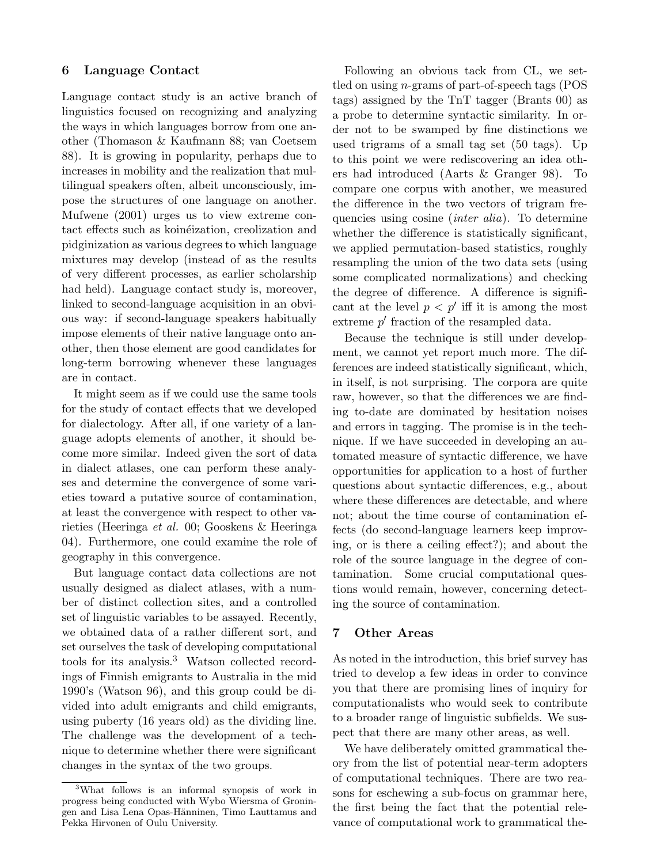### 6 Language Contact

Language contact study is an active branch of linguistics focused on recognizing and analyzing the ways in which languages borrow from one another (Thomason & Kaufmann 88; van Coetsem 88). It is growing in popularity, perhaps due to increases in mobility and the realization that multilingual speakers often, albeit unconsciously, impose the structures of one language on another. Mufwene (2001) urges us to view extreme contact effects such as koineization, creolization and pidginization as various degrees to which language mixtures may develop (instead of as the results of very different processes, as earlier scholarship had held). Language contact study is, moreover, linked to second-language acquisition in an obvious way: if second-language speakers habitually impose elements of their native language onto another, then those element are good candidates for long-term borrowing whenever these languages are in contact.

It might seem as if we could use the same tools for the study of contact effects that we developed for dialectology. After all, if one variety of a language adopts elements of another, it should become more similar. Indeed given the sort of data in dialect atlases, one can perform these analyses and determine the convergence of some varieties toward a putative source of contamination, at least the convergence with respect to other varieties (Heeringa et al. 00; Gooskens & Heeringa 04). Furthermore, one could examine the role of geography in this convergence.

But language contact data collections are not usually designed as dialect atlases, with a number of distinct collection sites, and a controlled set of linguistic variables to be assayed. Recently, we obtained data of a rather different sort, and set ourselves the task of developing computational tools for its analysis.<sup>3</sup> Watson collected recordings of Finnish emigrants to Australia in the mid 1990's (Watson 96), and this group could be divided into adult emigrants and child emigrants, using puberty (16 years old) as the dividing line. The challenge was the development of a technique to determine whether there were significant changes in the syntax of the two groups.

Following an obvious tack from CL, we settled on using n-grams of part-of-speech tags (POS tags) assigned by the TnT tagger (Brants 00) as a probe to determine syntactic similarity. In order not to be swamped by fine distinctions we used trigrams of a small tag set (50 tags). Up to this point we were rediscovering an idea others had introduced (Aarts & Granger 98). To compare one corpus with another, we measured the difference in the two vectors of trigram frequencies using cosine (inter alia). To determine whether the difference is statistically significant, we applied permutation-based statistics, roughly resampling the union of the two data sets (using some complicated normalizations) and checking the degree of difference. A difference is significant at the level  $p < p'$  iff it is among the most extreme  $p'$  fraction of the resampled data.

Because the technique is still under development, we cannot yet report much more. The differences are indeed statistically significant, which, in itself, is not surprising. The corpora are quite raw, however, so that the differences we are finding to-date are dominated by hesitation noises and errors in tagging. The promise is in the technique. If we have succeeded in developing an automated measure of syntactic difference, we have opportunities for application to a host of further questions about syntactic differences, e.g., about where these differences are detectable, and where not; about the time course of contamination effects (do second-language learners keep improving, or is there a ceiling effect?); and about the role of the source language in the degree of contamination. Some crucial computational questions would remain, however, concerning detecting the source of contamination.

### 7 Other Areas

As noted in the introduction, this brief survey has tried to develop a few ideas in order to convince you that there are promising lines of inquiry for computationalists who would seek to contribute to a broader range of linguistic subfields. We suspect that there are many other areas, as well.

We have deliberately omitted grammatical theory from the list of potential near-term adopters of computational techniques. There are two reasons for eschewing a sub-focus on grammar here, the first being the fact that the potential relevance of computational work to grammatical the-

<sup>3</sup>What follows is an informal synopsis of work in progress being conducted with Wybo Wiersma of Groningen and Lisa Lena Opas-Hänninen, Timo Lauttamus and Pekka Hirvonen of Oulu University.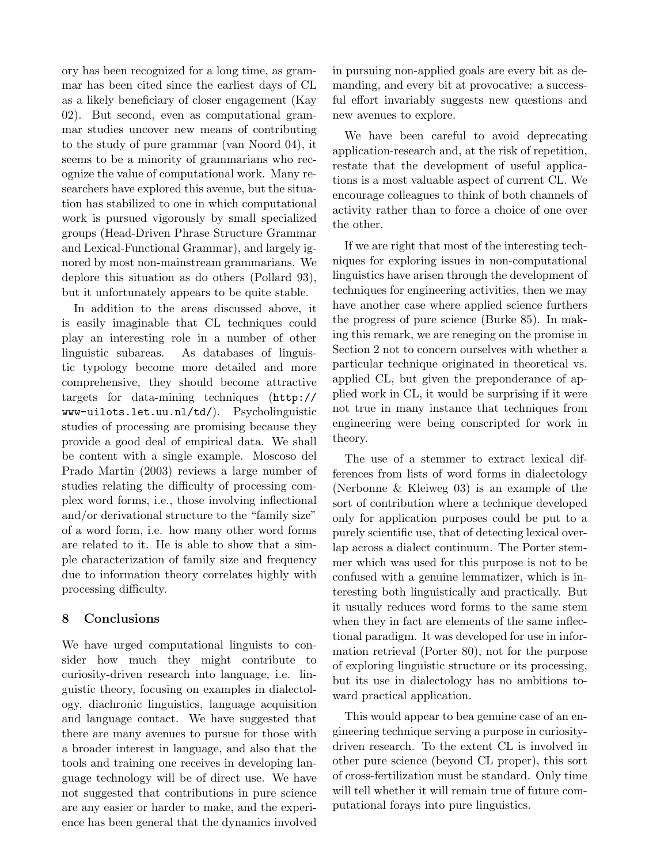ory has been recognized for a long time, as grammar has been cited since the earliest days of CL as a likely beneficiary of closer engagement (Kay 02). But second, even as computational grammar studies uncover new means of contributing to the study of pure grammar (van Noord 04), it seems to be a minority of grammarians who recognize the value of computational work. Many researchers have explored this avenue, but the situation has stabilized to one in which computational work is pursued vigorously by small specialized groups (Head-Driven Phrase Structure Grammar and Lexical-Functional Grammar), and largely ignored by most non-mainstream grammarians. We deplore this situation as do others (Pollard 93), but it unfortunately appears to be quite stable.

In addition to the areas discussed above, it is easily imaginable that CL techniques could play an interesting role in a number of other linguistic subareas. As databases of linguistic typology become more detailed and more comprehensive, they should become attractive targets for data-mining techniques (http:// www-uilots.let.uu.nl/td/). Psycholinguistic studies of processing are promising because they provide a good deal of empirical data. We shall be content with a single example. Moscoso del Prado Martin (2003) reviews a large number of studies relating the difficulty of processing complex word forms, i.e., those involving inflectional and/or derivational structure to the "family size" of a word form, i.e. how many other word forms are related to it. He is able to show that a simple characterization of family size and frequency due to information theory correlates highly with processing difficulty.

### 8 Conclusions

We have urged computational linguists to consider how much they might contribute to curiosity-driven research into language, i.e. linguistic theory, focusing on examples in dialectology, diachronic linguistics, language acquisition and language contact. We have suggested that there are many avenues to pursue for those with a broader interest in language, and also that the tools and training one receives in developing language technology will be of direct use. We have not suggested that contributions in pure science are any easier or harder to make, and the experience has been general that the dynamics involved

in pursuing non-applied goals are every bit as demanding, and every bit at provocative: a successful effort invariably suggests new questions and new avenues to explore.

We have been careful to avoid deprecating application-research and, at the risk of repetition, restate that the development of useful applications is a most valuable aspect of current CL. We encourage colleagues to think of both channels of activity rather than to force a choice of one over the other.

If we are right that most of the interesting techniques for exploring issues in non-computational linguistics have arisen through the development of techniques for engineering activities, then we may have another case where applied science furthers the progress of pure science (Burke 85). In making this remark, we are reneging on the promise in Section 2 not to concern ourselves with whether a particular technique originated in theoretical vs. applied CL, but given the preponderance of applied work in CL, it would be surprising if it were not true in many instance that techniques from engineering were being conscripted for work in theory.

The use of a stemmer to extract lexical differences from lists of word forms in dialectology (Nerbonne & Kleiweg 03) is an example of the sort of contribution where a technique developed only for application purposes could be put to a purely scientific use, that of detecting lexical overlap across a dialect continuum. The Porter stemmer which was used for this purpose is not to be confused with a genuine lemmatizer, which is interesting both linguistically and practically. But it usually reduces word forms to the same stem when they in fact are elements of the same inflectional paradigm. It was developed for use in information retrieval (Porter 80), not for the purpose of exploring linguistic structure or its processing, but its use in dialectology has no ambitions toward practical application.

This would appear to bea genuine case of an engineering technique serving a purpose in curiositydriven research. To the extent CL is involved in other pure science (beyond CL proper), this sort of cross-fertilization must be standard. Only time will tell whether it will remain true of future computational forays into pure linguistics.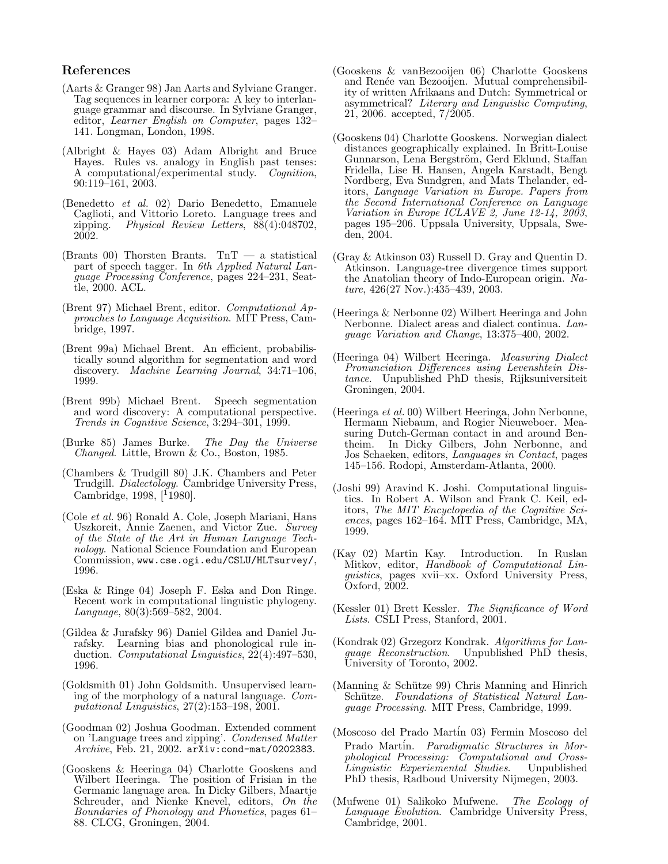#### References

- (Aarts & Granger 98) Jan Aarts and Sylviane Granger. Tag sequences in learner corpora: A key to interlanguage grammar and discourse. In Sylviane Granger, editor, Learner English on Computer, pages 132– 141. Longman, London, 1998.
- (Albright & Hayes 03) Adam Albright and Bruce Hayes. Rules vs. analogy in English past tenses: A computational/experimental study. Cognition, 90:119–161, 2003.
- (Benedetto et al. 02) Dario Benedetto, Emanuele Caglioti, and Vittorio Loreto. Language trees and zipping. Physical Review Letters, 88(4):048702, 2002.
- $(Brants 00)$  Thorsten Brants. TnT a statistical part of speech tagger. In 6th Applied Natural Language Processing Conference, pages 224–231, Seattle, 2000. ACL.
- (Brent 97) Michael Brent, editor. Computational Approaches to Language Acquisition. MIT Press, Cambridge, 1997.
- (Brent 99a) Michael Brent. An efficient, probabilistically sound algorithm for segmentation and word discovery. Machine Learning Journal, 34:71–106, 1999.
- (Brent 99b) Michael Brent. Speech segmentation and word discovery: A computational perspective. Trends in Cognitive Science, 3:294–301, 1999.
- (Burke 85) James Burke. The Day the Universe Changed. Little, Brown & Co., Boston, 1985.
- (Chambers & Trudgill 80) J.K. Chambers and Peter Trudgill. Dialectology. Cambridge University Press, Cambridge, 1998, [<sup>1</sup>1980].
- (Cole et al. 96) Ronald A. Cole, Joseph Mariani, Hans Uszkoreit, Annie Zaenen, and Victor Zue. Survey of the State of the Art in Human Language Technology. National Science Foundation and European Commission, www.cse.ogi.edu/CSLU/HLTsurvey/, 1996.
- (Eska & Ringe 04) Joseph F. Eska and Don Ringe. Recent work in computational linguistic phylogeny. Language, 80(3):569–582, 2004.
- (Gildea & Jurafsky 96) Daniel Gildea and Daniel Jurafsky. Learning bias and phonological rule induction. Computational Linguistics,  $22(4):497-530$ , 1996.
- (Goldsmith 01) John Goldsmith. Unsupervised learning of the morphology of a natural language. Computational Linguistics,  $27(2):153-198$ ,  $2001$ .
- (Goodman 02) Joshua Goodman. Extended comment on 'Language trees and zipping'. Condensed Matter Archive, Feb. 21, 2002. arXiv: cond-mat/0202383.
- (Gooskens & Heeringa 04) Charlotte Gooskens and Wilbert Heeringa. The position of Frisian in the Germanic language area. In Dicky Gilbers, Maartje Schreuder, and Nienke Knevel, editors, On the Boundaries of Phonology and Phonetics, pages 61– 88. CLCG, Groningen, 2004.
- (Gooskens & vanBezooijen 06) Charlotte Gooskens and Renée van Bezooijen. Mutual comprehensibility of written Afrikaans and Dutch: Symmetrical or asymmetrical? Literary and Linguistic Computing, 21, 2006. accepted, 7/2005.
- (Gooskens 04) Charlotte Gooskens. Norwegian dialect distances geographically explained. In Britt-Louise Gunnarson, Lena Bergström, Gerd Eklund, Staffan Fridella, Lise H. Hansen, Angela Karstadt, Bengt Nordberg, Eva Sundgren, and Mats Thelander, editors, Language Variation in Europe. Papers from the Second International Conference on Language Variation in Europe ICLAVE 2, June 12-14, 2003, pages 195–206. Uppsala University, Uppsala, Sweden, 2004.
- (Gray & Atkinson 03) Russell D. Gray and Quentin D. Atkinson. Language-tree divergence times support the Anatolian theory of Indo-European origin. Nature, 426(27 Nov.):435–439, 2003.
- (Heeringa & Nerbonne 02) Wilbert Heeringa and John Nerbonne. Dialect areas and dialect continua. Language Variation and Change, 13:375–400, 2002.
- (Heeringa 04) Wilbert Heeringa. Measuring Dialect Pronunciation Differences using Levenshtein Distance. Unpublished PhD thesis, Rijksuniversiteit Groningen, 2004.
- (Heeringa et al. 00) Wilbert Heeringa, John Nerbonne, Hermann Niebaum, and Rogier Nieuweboer. Measuring Dutch-German contact in and around Bentheim. In Dicky Gilbers, John Nerbonne, and Jos Schaeken, editors, Languages in Contact, pages 145–156. Rodopi, Amsterdam-Atlanta, 2000.
- (Joshi 99) Aravind K. Joshi. Computational linguistics. In Robert A. Wilson and Frank C. Keil, editors, The MIT Encyclopedia of the Cognitive Sciences, pages 162–164. MIT Press, Cambridge, MA, 1999.
- (Kay 02) Martin Kay. Introduction. In Ruslan Mitkov, editor, Handbook of Computational Linguistics, pages xvii–xx. Oxford University Press, Oxford, 2002.
- (Kessler 01) Brett Kessler. The Significance of Word Lists. CSLI Press, Stanford, 2001.
- (Kondrak 02) Grzegorz Kondrak. Algorithms for Language Reconstruction. Unpublished PhD thesis, University of Toronto, 2002.
- (Manning & Schütze 99) Chris Manning and Hinrich Schütze. Foundations of Statistical Natural Language Processing. MIT Press, Cambridge, 1999.
- (Moscoso del Prado Mart´in 03) Fermin Moscoso del Prado Martín. Paradigmatic Structures in Morphological Processing: Computational and Cross-Linguistic Experiemental Studies. Unpublished PhD thesis, Radboud University Nijmegen, 2003.
- (Mufwene 01) Salikoko Mufwene. The Ecology of Language Evolution. Cambridge University Press, Cambridge, 2001.